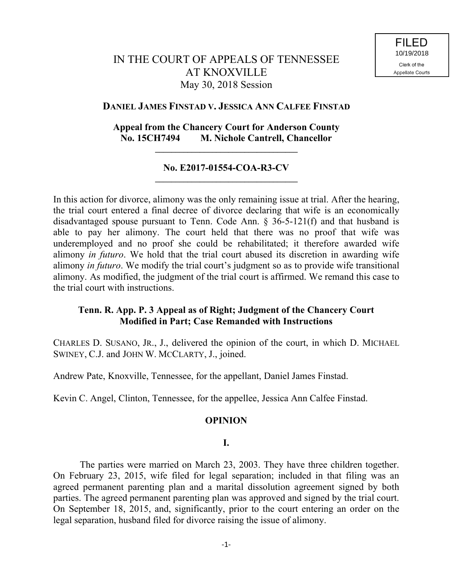# IN THE COURT OF APPEALS OF TENNESSEE AT KNOXVILLE May 30, 2018 Session

# **DANIEL JAMES FINSTAD V. JESSICA ANN CALFEE FINSTAD**

# **Appeal from the Chancery Court for Anderson County No. 15CH7494 M. Nichole Cantrell, Chancellor**

**\_\_\_\_\_\_\_\_\_\_\_\_\_\_\_\_\_\_\_\_\_\_\_\_\_\_\_\_\_\_\_\_\_\_\_**

#### **No. E2017-01554-COA-R3-CV \_\_\_\_\_\_\_\_\_\_\_\_\_\_\_\_\_\_\_\_\_\_\_\_\_\_\_\_\_\_\_\_\_\_\_**

In this action for divorce, alimony was the only remaining issue at trial. After the hearing, the trial court entered a final decree of divorce declaring that wife is an economically disadvantaged spouse pursuant to Tenn. Code Ann. § 36-5-121(f) and that husband is able to pay her alimony. The court held that there was no proof that wife was underemployed and no proof she could be rehabilitated; it therefore awarded wife alimony *in futuro*. We hold that the trial court abused its discretion in awarding wife alimony *in futuro*. We modify the trial court's judgment so as to provide wife transitional alimony. As modified, the judgment of the trial court is affirmed. We remand this case to the trial court with instructions.

# **Tenn. R. App. P. 3 Appeal as of Right; Judgment of the Chancery Court Modified in Part; Case Remanded with Instructions**

CHARLES D. SUSANO, JR., J., delivered the opinion of the court, in which D. MICHAEL SWINEY, C.J. and JOHN W. MCCLARTY, J., joined.

Andrew Pate, Knoxville, Tennessee, for the appellant, Daniel James Finstad.

Kevin C. Angel, Clinton, Tennessee, for the appellee, Jessica Ann Calfee Finstad.

# **OPINION**

# **I.**

The parties were married on March 23, 2003. They have three children together. On February 23, 2015, wife filed for legal separation; included in that filing was an agreed permanent parenting plan and a marital dissolution agreement signed by both parties. The agreed permanent parenting plan was approved and signed by the trial court. On September 18, 2015, and, significantly, prior to the court entering an order on the legal separation, husband filed for divorce raising the issue of alimony.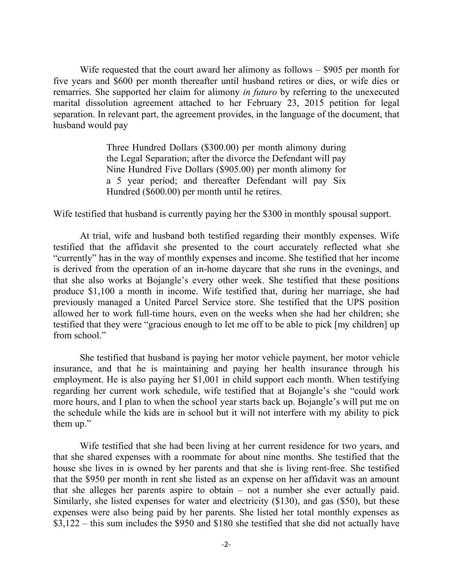Wife requested that the court award her alimony as follows – \$905 per month for five years and \$600 per month thereafter until husband retires or dies, or wife dies or remarries. She supported her claim for alimony *in futuro* by referring to the unexecuted marital dissolution agreement attached to her February 23, 2015 petition for legal separation. In relevant part, the agreement provides, in the language of the document, that husband would pay

> Three Hundred Dollars (\$300.00) per month alimony during the Legal Separation; after the divorce the Defendant will pay Nine Hundred Five Dollars (\$905.00) per month alimony for a 5 year period; and thereafter Defendant will pay Six Hundred (\$600.00) per month until he retires.

Wife testified that husband is currently paying her the \$300 in monthly spousal support.

At trial, wife and husband both testified regarding their monthly expenses. Wife testified that the affidavit she presented to the court accurately reflected what she "currently" has in the way of monthly expenses and income. She testified that her income is derived from the operation of an in-home daycare that she runs in the evenings, and that she also works at Bojangle's every other week. She testified that these positions produce \$1,100 a month in income. Wife testified that, during her marriage, she had previously managed a United Parcel Service store. She testified that the UPS position allowed her to work full-time hours, even on the weeks when she had her children; she testified that they were "gracious enough to let me off to be able to pick [my children] up from school."

She testified that husband is paying her motor vehicle payment, her motor vehicle insurance, and that he is maintaining and paying her health insurance through his employment. He is also paying her \$1,001 in child support each month. When testifying regarding her current work schedule, wife testified that at Bojangle's she "could work more hours, and I plan to when the school year starts back up. Bojangle's will put me on the schedule while the kids are in school but it will not interfere with my ability to pick them up."

Wife testified that she had been living at her current residence for two years, and that she shared expenses with a roommate for about nine months. She testified that the house she lives in is owned by her parents and that she is living rent-free. She testified that the \$950 per month in rent she listed as an expense on her affidavit was an amount that she alleges her parents aspire to obtain – not a number she ever actually paid. Similarly, she listed expenses for water and electricity (\$130), and gas (\$50), but these expenses were also being paid by her parents. She listed her total monthly expenses as \$3,122 – this sum includes the \$950 and \$180 she testified that she did not actually have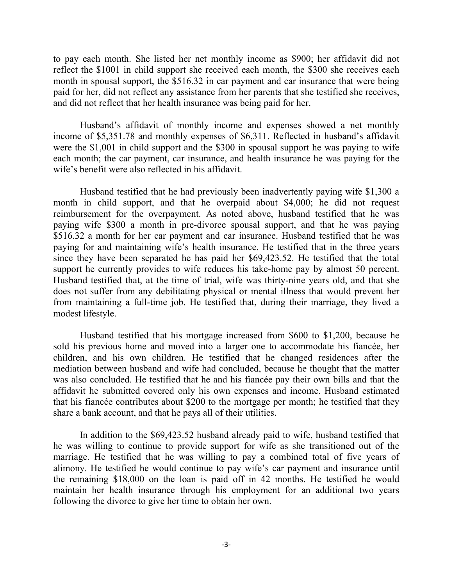to pay each month. She listed her net monthly income as \$900; her affidavit did not reflect the \$1001 in child support she received each month, the \$300 she receives each month in spousal support, the \$516.32 in car payment and car insurance that were being paid for her, did not reflect any assistance from her parents that she testified she receives, and did not reflect that her health insurance was being paid for her.

Husband's affidavit of monthly income and expenses showed a net monthly income of \$5,351.78 and monthly expenses of \$6,311. Reflected in husband's affidavit were the \$1,001 in child support and the \$300 in spousal support he was paying to wife each month; the car payment, car insurance, and health insurance he was paying for the wife's benefit were also reflected in his affidavit.

Husband testified that he had previously been inadvertently paying wife \$1,300 a month in child support, and that he overpaid about \$4,000; he did not request reimbursement for the overpayment. As noted above, husband testified that he was paying wife \$300 a month in pre-divorce spousal support, and that he was paying \$516.32 a month for her car payment and car insurance. Husband testified that he was paying for and maintaining wife's health insurance. He testified that in the three years since they have been separated he has paid her \$69,423.52. He testified that the total support he currently provides to wife reduces his take-home pay by almost 50 percent. Husband testified that, at the time of trial, wife was thirty-nine years old, and that she does not suffer from any debilitating physical or mental illness that would prevent her from maintaining a full-time job. He testified that, during their marriage, they lived a modest lifestyle.

Husband testified that his mortgage increased from \$600 to \$1,200, because he sold his previous home and moved into a larger one to accommodate his fiancée, her children, and his own children. He testified that he changed residences after the mediation between husband and wife had concluded, because he thought that the matter was also concluded. He testified that he and his fiancée pay their own bills and that the affidavit he submitted covered only his own expenses and income. Husband estimated that his fiancée contributes about \$200 to the mortgage per month; he testified that they share a bank account, and that he pays all of their utilities.

In addition to the \$69,423.52 husband already paid to wife, husband testified that he was willing to continue to provide support for wife as she transitioned out of the marriage. He testified that he was willing to pay a combined total of five years of alimony. He testified he would continue to pay wife's car payment and insurance until the remaining \$18,000 on the loan is paid off in 42 months. He testified he would maintain her health insurance through his employment for an additional two years following the divorce to give her time to obtain her own.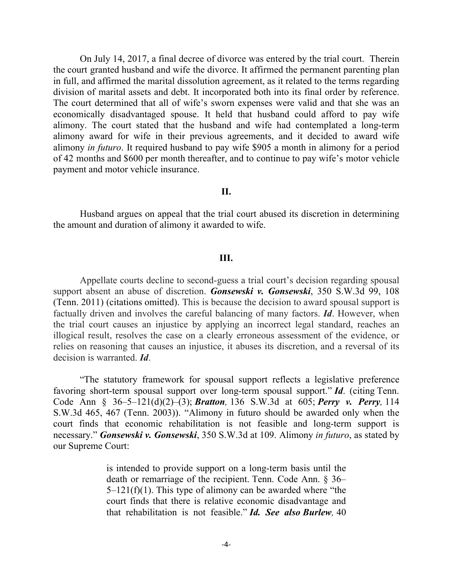On July 14, 2017, a final decree of divorce was entered by the trial court. Therein the court granted husband and wife the divorce. It affirmed the permanent parenting plan in full, and affirmed the marital dissolution agreement, as it related to the terms regarding division of marital assets and debt. It incorporated both into its final order by reference. The court determined that all of wife's sworn expenses were valid and that she was an economically disadvantaged spouse. It held that husband could afford to pay wife alimony. The court stated that the husband and wife had contemplated a long-term alimony award for wife in their previous agreements, and it decided to award wife alimony *in futuro*. It required husband to pay wife \$905 a month in alimony for a period of 42 months and \$600 per month thereafter, and to continue to pay wife's motor vehicle payment and motor vehicle insurance.

#### **II.**

Husband argues on appeal that the trial court abused its discretion in determining the amount and duration of alimony it awarded to wife.

#### **III.**

Appellate courts decline to second-guess a trial court's decision regarding spousal support absent an abuse of discretion. *Gonsewski v. Gonsewski*, 350 S.W.3d 99, 108 (Tenn. 2011) (citations omitted). This is because the decision to award spousal support is factually driven and involves the careful balancing of many factors. *Id*. However, when the trial court causes an injustice by applying an incorrect legal standard, reaches an illogical result, resolves the case on a clearly erroneous assessment of the evidence, or relies on reasoning that causes an injustice, it abuses its discretion, and a reversal of its decision is warranted. *Id*.

"The statutory framework for spousal support reflects a legislative preference favoring short-term spousal support over long-term spousal support." *Id*. (citing Tenn. Code Ann § 36–5–121(d)(2)–(3); *Bratton,* 136 S.W.3d at 605; *Perry v. Perry,* 114 S.W.3d 465, 467 (Tenn. 2003)). "Alimony in futuro should be awarded only when the court finds that economic rehabilitation is not feasible and long-term support is necessary." *Gonsewski v. Gonsewski*, 350 S.W.3d at 109. Alimony *in futuro*, as stated by our Supreme Court:

> is intended to provide support on a long-term basis until the death or remarriage of the recipient. Tenn. Code Ann. § 36–  $5-121(f)(1)$ . This type of alimony can be awarded where "the court finds that there is relative economic disadvantage and that rehabilitation is not feasible." *Id. See also Burlew,* 40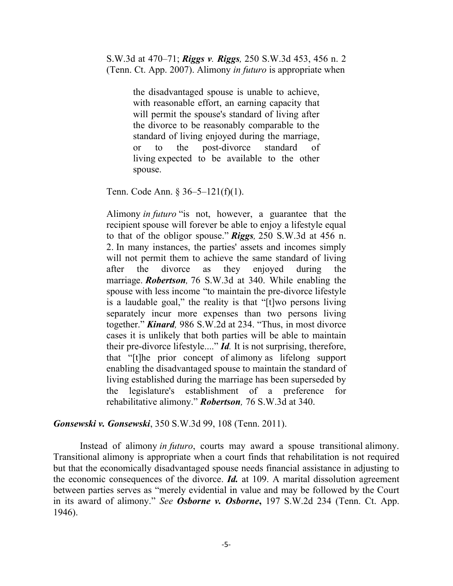S.W.3d at 470–71; *Riggs v. Riggs,* 250 S.W.3d 453, 456 n. 2 (Tenn. Ct. App. 2007). Alimony *in futuro* is appropriate when

> the disadvantaged spouse is unable to achieve, with reasonable effort, an earning capacity that will permit the spouse's standard of living after the divorce to be reasonably comparable to the standard of living enjoyed during the marriage, or to the post-divorce standard of living expected to be available to the other spouse.

Tenn. Code Ann. § 36–5–121(f)(1).

Alimony *in futuro* "is not, however, a guarantee that the recipient spouse will forever be able to enjoy a lifestyle equal to that of the obligor spouse." *Riggs,* 250 S.W.3d at 456 n. 2. In many instances, the parties' assets and incomes simply will not permit them to achieve the same standard of living after the divorce as they enjoyed during the marriage. *Robertson,* 76 S.W.3d at 340. While enabling the spouse with less income "to maintain the pre-divorce lifestyle is a laudable goal," the reality is that "[t]wo persons living separately incur more expenses than two persons living together." *Kinard,* 986 S.W.2d at 234. "Thus, in most divorce cases it is unlikely that both parties will be able to maintain their pre-divorce lifestyle...." *Id.* It is not surprising, therefore, that "[t]he prior concept of alimony as lifelong support enabling the disadvantaged spouse to maintain the standard of living established during the marriage has been superseded by the legislature's establishment of a preference for rehabilitative alimony." *Robertson,* 76 S.W.3d at 340.

*Gonsewski v. Gonsewski*, 350 S.W.3d 99, 108 (Tenn. 2011).

Instead of alimony *in futuro*, courts may award a spouse transitional alimony. Transitional alimony is appropriate when a court finds that rehabilitation is not required but that the economically disadvantaged spouse needs financial assistance in adjusting to the economic consequences of the divorce. *Id.* at 109. A marital dissolution agreement between parties serves as "merely evidential in value and may be followed by the Court in its award of alimony." *See Osborne v. Osborne***,** 197 S.W.2d 234 (Tenn. Ct. App. 1946).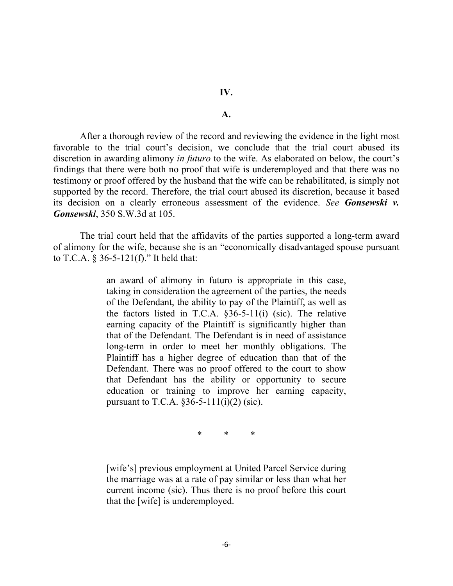#### **A.**

After a thorough review of the record and reviewing the evidence in the light most favorable to the trial court's decision, we conclude that the trial court abused its discretion in awarding alimony *in futuro* to the wife. As elaborated on below, the court's findings that there were both no proof that wife is underemployed and that there was no testimony or proof offered by the husband that the wife can be rehabilitated, is simply not supported by the record. Therefore, the trial court abused its discretion, because it based its decision on a clearly erroneous assessment of the evidence. *See Gonsewski v. Gonsewski*, 350 S.W.3d at 105.

The trial court held that the affidavits of the parties supported a long-term award of alimony for the wife, because she is an "economically disadvantaged spouse pursuant to T.C.A. § 36-5-121(f)." It held that:

> an award of alimony in futuro is appropriate in this case, taking in consideration the agreement of the parties, the needs of the Defendant, the ability to pay of the Plaintiff, as well as the factors listed in T.C.A. §36-5-11(i) (sic). The relative earning capacity of the Plaintiff is significantly higher than that of the Defendant. The Defendant is in need of assistance long-term in order to meet her monthly obligations. The Plaintiff has a higher degree of education than that of the Defendant. There was no proof offered to the court to show that Defendant has the ability or opportunity to secure education or training to improve her earning capacity, pursuant to T.C.A.  $\S 36 - 5 - 111(i)(2)$  (sic).

> > \* \* \*

[wife's] previous employment at United Parcel Service during the marriage was at a rate of pay similar or less than what her current income (sic). Thus there is no proof before this court that the [wife] is underemployed.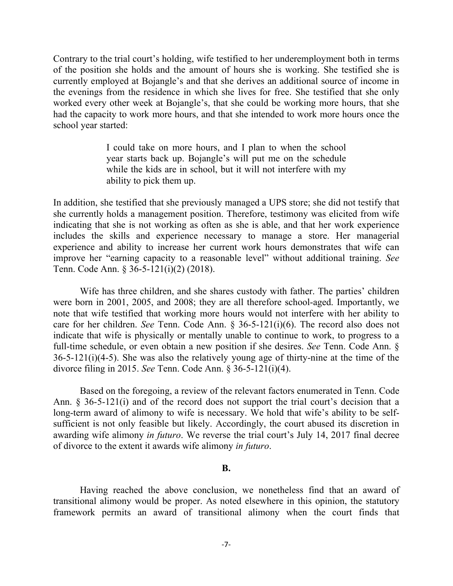Contrary to the trial court's holding, wife testified to her underemployment both in terms of the position she holds and the amount of hours she is working. She testified she is currently employed at Bojangle's and that she derives an additional source of income in the evenings from the residence in which she lives for free. She testified that she only worked every other week at Bojangle's, that she could be working more hours, that she had the capacity to work more hours, and that she intended to work more hours once the school year started:

> I could take on more hours, and I plan to when the school year starts back up. Bojangle's will put me on the schedule while the kids are in school, but it will not interfere with my ability to pick them up.

In addition, she testified that she previously managed a UPS store; she did not testify that she currently holds a management position. Therefore, testimony was elicited from wife indicating that she is not working as often as she is able, and that her work experience includes the skills and experience necessary to manage a store. Her managerial experience and ability to increase her current work hours demonstrates that wife can improve her "earning capacity to a reasonable level" without additional training. *See* Tenn. Code Ann. § 36-5-121(i)(2) (2018).

Wife has three children, and she shares custody with father. The parties' children were born in 2001, 2005, and 2008; they are all therefore school-aged. Importantly, we note that wife testified that working more hours would not interfere with her ability to care for her children. *See* Tenn. Code Ann. § 36-5-121(i)(6). The record also does not indicate that wife is physically or mentally unable to continue to work, to progress to a full-time schedule, or even obtain a new position if she desires. *See* Tenn. Code Ann. § 36-5-121(i)(4-5). She was also the relatively young age of thirty-nine at the time of the divorce filing in 2015. *See* Tenn. Code Ann. § 36-5-121(i)(4).

Based on the foregoing, a review of the relevant factors enumerated in Tenn. Code Ann. § 36-5-121(i) and of the record does not support the trial court's decision that a long-term award of alimony to wife is necessary. We hold that wife's ability to be selfsufficient is not only feasible but likely. Accordingly, the court abused its discretion in awarding wife alimony *in futuro*. We reverse the trial court's July 14, 2017 final decree of divorce to the extent it awards wife alimony *in futuro*.

#### **B.**

Having reached the above conclusion, we nonetheless find that an award of transitional alimony would be proper. As noted elsewhere in this opinion, the statutory framework permits an award of transitional alimony when the court finds that